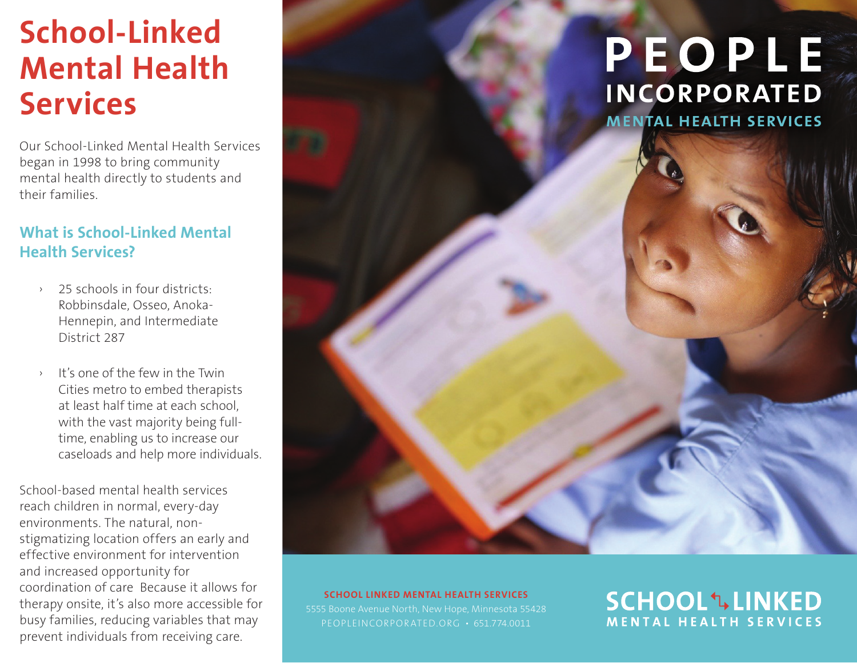# **School-Linked Mental Health Services**

Our School-Linked Mental Health Services began in 1998 to bring community mental health directly to students and their families.

#### **What is School-Linked Mental Health Services?**

- › 25 schools in four districts: Robbinsdale, Osseo, Anoka-Hennepin, and Intermediate District 287
- It's one of the few in the Twin Cities metro to embed therapists at least half time at each school, with the vast majority being fulltime, enabling us to increase our caseloads and help more individuals.

School-based mental health services reach children in normal, every-day environments. The natural, nonstigmatizing location offers an early and effective environment for intervention and increased opportunity for coordination of care Because it allows for therapy onsite, it's also more accessible for busy families, reducing variables that may prevent individuals from receiving care.

# PEOPLE **INCORPORATED**

**MENTAL HEALTH SERVICES** 

**SCHOOL LINKED MENTAL HEALTH SERVICES** 5555 Boone Avenue North, New Hope, Minnesota 55428 PEOPLEINCORPORATED.ORG · 651.774.0011

## **SCHOOL'LLINKED** MENTAL HEALTH SERVICES